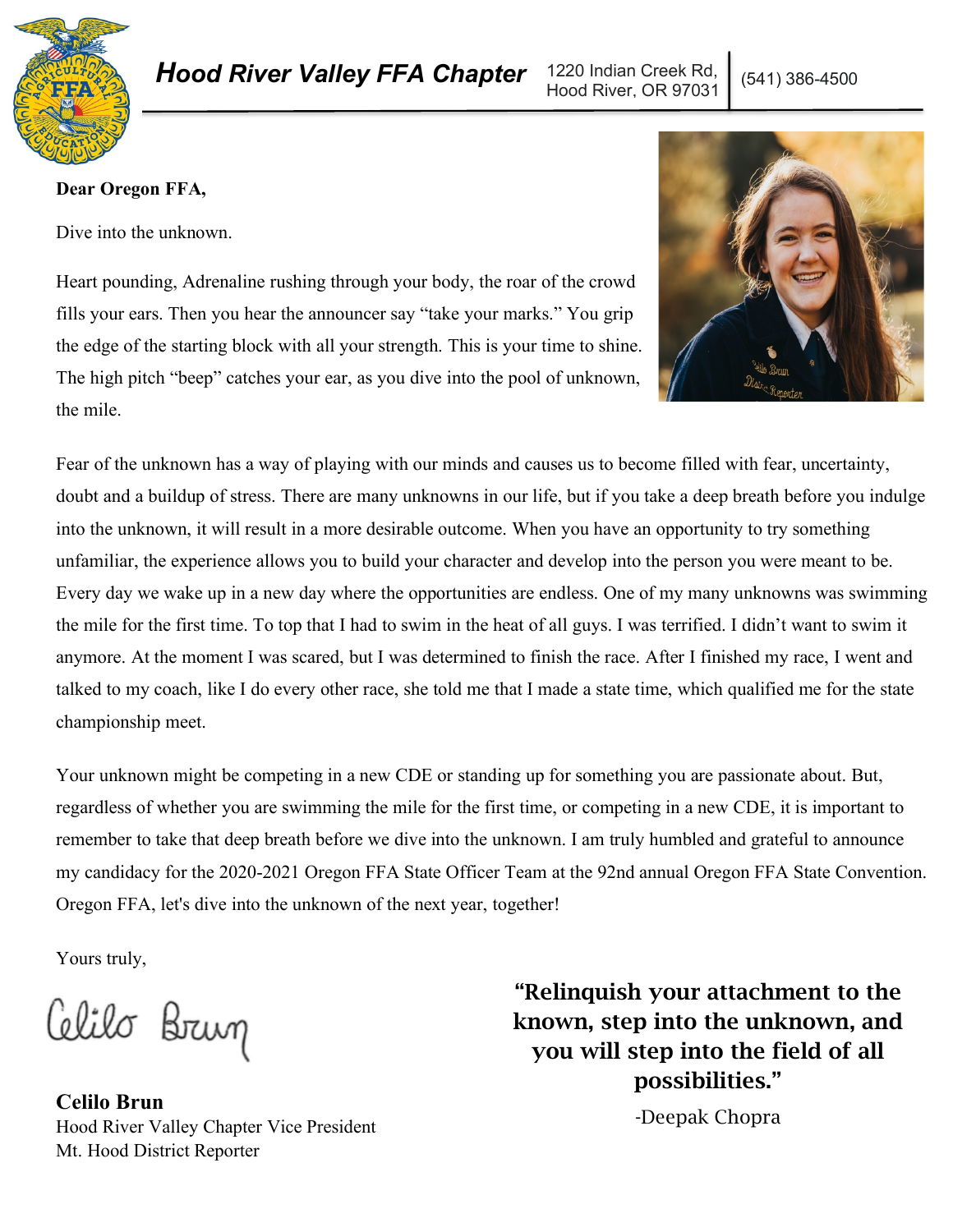

# *Hood River Valley FFA Chapter* 1220 Indian Creek Rd, | (541) 386-4500

Hood River, OR 97031

### **Dear Oregon FFA,**

Dive into the unknown.

Heart pounding, Adrenaline rushing through your body, the roar of the crowd fills your ears. Then you hear the announcer say "take your marks." You grip the edge of the starting block with all your strength. This is your time to shine. The high pitch "beep" catches your ear, as you dive into the pool of unknown, the mile.



Fear of the unknown has a way of playing with our minds and causes us to become filled with fear, uncertainty, doubt and a buildup of stress. There are many unknowns in our life, but if you take a deep breath before you indulge into the unknown, it will result in a more desirable outcome. When you have an opportunity to try something unfamiliar, the experience allows you to build your character and develop into the person you were meant to be. Every day we wake up in a new day where the opportunities are endless. One of my many unknowns was swimming the mile for the first time. To top that I had to swim in the heat of all guys. I was terrified. I didn't want to swim it anymore. At the moment I was scared, but I was determined to finish the race. After I finished my race, I went and talked to my coach, like I do every other race, she told me that I made a state time, which qualified me for the state championship meet.

Your unknown might be competing in a new CDE or standing up for something you are passionate about. But, regardless of whether you are swimming the mile for the first time, or competing in a new CDE, it is important to remember to take that deep breath before we dive into the unknown. I am truly humbled and grateful to announce my candidacy for the 2020-2021 Oregon FFA State Officer Team at the 92nd annual Oregon FFA State Convention. Oregon FFA, let's dive into the unknown of the next year, together!

Yours truly,

Celilo Brug

**Celilo Brun** Hood River Valley Chapter Vice President Mt. Hood District Reporter

"Relinquish your attachment to the known, step into the unknown, and you will step into the field of all possibilities."

-Deepak Chopra